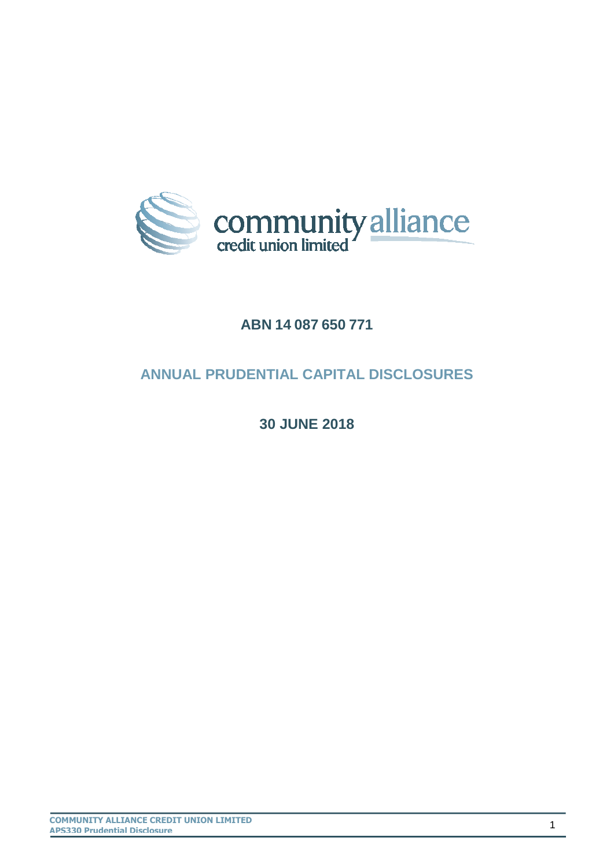

## **ABN 14 087 650 771**

# **ANNUAL PRUDENTIAL CAPITAL DISCLOSURES**

**30 JUNE 2018**

**COMMUNITY ALLIANCE CREDIT UNION LIMITED APS330 Prudential Disclosure**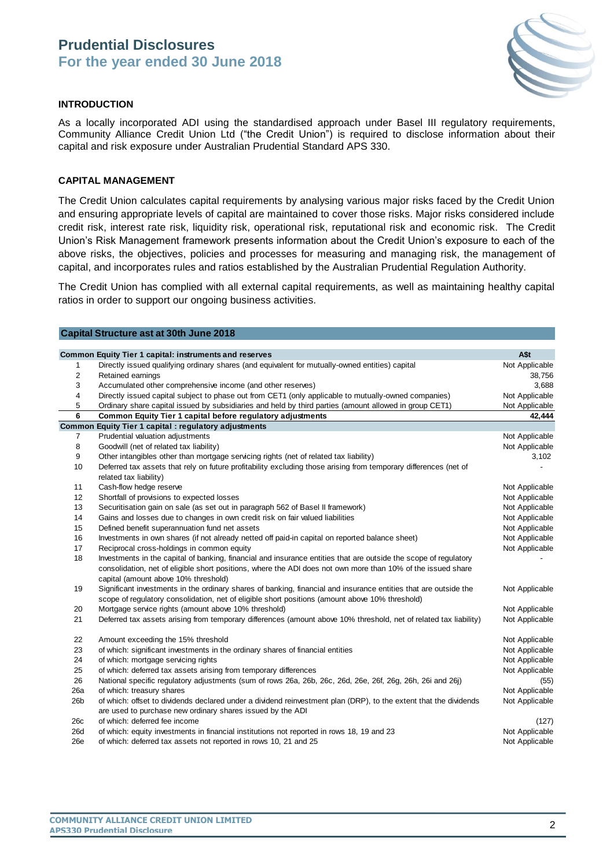

#### **INTRODUCTION**

As a locally incorporated ADI using the standardised approach under Basel III regulatory requirements, Community Alliance Credit Union Ltd ("the Credit Union") is required to disclose information about their capital and risk exposure under Australian Prudential Standard APS 330.

#### **CAPITAL MANAGEMENT**

The Credit Union calculates capital requirements by analysing various major risks faced by the Credit Union and ensuring appropriate levels of capital are maintained to cover those risks. Major risks considered include credit risk, interest rate risk, liquidity risk, operational risk, reputational risk and economic risk. The Credit Union's Risk Management framework presents information about the Credit Union's exposure to each of the above risks, the objectives, policies and processes for measuring and managing risk, the management of capital, and incorporates rules and ratios established by the Australian Prudential Regulation Authority.

The Credit Union has complied with all external capital requirements, as well as maintaining healthy capital ratios in order to support our ongoing business activities.

|     | <b>Capital Structure ast at 30th June 2018</b>                                                                    |                |
|-----|-------------------------------------------------------------------------------------------------------------------|----------------|
|     |                                                                                                                   |                |
|     | Common Equity Tier 1 capital: instruments and reserves                                                            | A\$t           |
| 1   | Directly issued qualifying ordinary shares (and equivalent for mutually-owned entities) capital                   | Not Applicable |
| 2   | Retained earnings                                                                                                 | 38,756         |
| 3   | Accumulated other comprehensive income (and other reserves)                                                       | 3,688          |
| 4   | Directly issued capital subject to phase out from CET1 (only applicable to mutually-owned companies)              | Not Applicable |
| 5   | Ordinary share capital issued by subsidiaries and held by third parties (amount allowed in group CET1)            | Not Applicable |
| 6   | Common Equity Tier 1 capital before regulatory adjustments                                                        | 42,444         |
|     | <b>Common Equity Tier 1 capital : regulatory adjustments</b>                                                      |                |
| 7   | Prudential valuation adjustments                                                                                  | Not Applicable |
| 8   | Goodwill (net of related tax liability)                                                                           | Not Applicable |
| 9   | Other intangibles other than mortgage servicing rights (net of related tax liability)                             | 3,102          |
| 10  | Deferred tax assets that rely on future profitability excluding those arising from temporary differences (net of  |                |
|     | related tax liability)                                                                                            |                |
| 11  | Cash-flow hedge reserve                                                                                           | Not Applicable |
| 12  | Shortfall of provisions to expected losses                                                                        | Not Applicable |
| 13  | Securitisation gain on sale (as set out in paragraph 562 of Basel II framework)                                   | Not Applicable |
| 14  | Gains and losses due to changes in own credit risk on fair valued liabilities                                     | Not Applicable |
| 15  | Defined benefit superannuation fund net assets                                                                    | Not Applicable |
| 16  | Investments in own shares (if not already netted off paid-in capital on reported balance sheet)                   | Not Applicable |
| 17  | Reciprocal cross-holdings in common equity                                                                        | Not Applicable |
| 18  | Investments in the capital of banking, financial and insurance entities that are outside the scope of regulatory  |                |
|     | consolidation, net of eligible short positions, where the ADI does not own more than 10% of the issued share      |                |
|     | capital (amount above 10% threshold)                                                                              |                |
| 19  | Significant investments in the ordinary shares of banking, financial and insurance entities that are outside the  | Not Applicable |
|     | scope of regulatory consolidation, net of eligible short positions (amount above 10% threshold)                   |                |
| 20  | Mortgage service rights (amount above 10% threshold)                                                              | Not Applicable |
| 21  | Deferred tax assets arising from temporary differences (amount above 10% threshold, net of related tax liability) | Not Applicable |
| 22  | Amount exceeding the 15% threshold                                                                                | Not Applicable |
| 23  | of which: significant investments in the ordinary shares of financial entities                                    | Not Applicable |
| 24  | of which: mortgage servicing rights                                                                               | Not Applicable |
| 25  | of which: deferred tax assets arising from temporary differences                                                  | Not Applicable |
| 26  | National specific regulatory adjustments (sum of rows 26a, 26b, 26c, 26d, 26e, 26f, 26g, 26h, 26i and 26j)        | (55)           |
| 26a | of which: treasury shares                                                                                         | Not Applicable |
| 26b | of which: offset to dividends declared under a dividend reinvestment plan (DRP), to the extent that the dividends | Not Applicable |
|     | are used to purchase new ordinary shares issued by the ADI                                                        |                |
| 26c | of which: deferred fee income                                                                                     | (127)          |
| 26d | of which: equity investments in financial institutions not reported in rows 18, 19 and 23                         | Not Applicable |
| 26e | of which: deferred tax assets not reported in rows 10, 21 and 25                                                  | Not Applicable |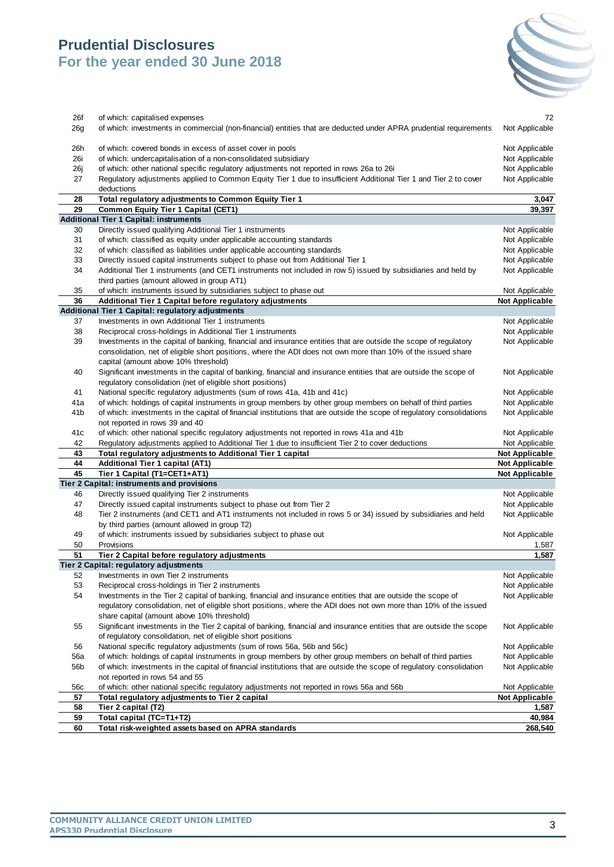

|     | consolidation, net of eligible short positions, where the ADI does not own more than 10% of the issued share                |                       |
|-----|-----------------------------------------------------------------------------------------------------------------------------|-----------------------|
|     | capital (amount above 10% threshold)                                                                                        |                       |
| 40  | Significant investments in the capital of banking, financial and insurance entities that are outside the scope of           | Not Applicable        |
|     | regulatory consolidation (net of eligible short positions)                                                                  |                       |
| 41  | National specific regulatory adjustments (sum of rows 41a, 41b and 41c)                                                     | Not Applicable        |
| 41a | of which: holdings of capital instruments in group members by other group members on behalf of third parties                | Not Applicable        |
| 41b | of which: investments in the capital of financial institutions that are outside the scope of regulatory consolidations      | Not Applicable        |
| 41c | not reported in rows 39 and 40<br>of which: other national specific regulatory adjustments not reported in rows 41a and 41b | Not Applicable        |
|     |                                                                                                                             |                       |
|     |                                                                                                                             |                       |
| 42  | Regulatory adjustments applied to Additional Tier 1 due to insufficient Tier 2 to cover deductions                          | Not Applicable        |
| 43  | Total regulatory adjustments to Additional Tier 1 capital                                                                   | <b>Not Applicable</b> |
| 44  | Additional Tier 1 capital (AT1)                                                                                             | <b>Not Applicable</b> |
| 45  | Tier 1 Capital (T1=CET1+AT1)                                                                                                | <b>Not Applicable</b> |
| 46  | Tier 2 Capital: instruments and provisions<br>Directly issued qualifying Tier 2 instruments                                 | Not Applicable        |
| 47  | Directly issued capital instruments subject to phase out from Tier 2                                                        | Not Applicable        |
| 48  | Tier 2 instruments (and CET1 and AT1 instruments not included in rows 5 or 34) issued by subsidiaries and held              | Not Applicable        |
|     | by third parties (amount allowed in group T2)                                                                               |                       |
| 49  | of which: instruments issued by subsidiaries subject to phase out                                                           | Not Applicable        |
| 50  | Provisions                                                                                                                  | 1,587                 |
| 51  | Tier 2 Capital before regulatory adjustments                                                                                | 1,587                 |
|     | Tier 2 Capital: regulatory adjustments                                                                                      |                       |
| 52  | Investments in own Tier 2 instruments                                                                                       | Not Applicable        |
| 53  | Reciprocal cross-holdings in Tier 2 instruments                                                                             | Not Applicable        |
| 54  | Investments in the Tier 2 capital of banking, financial and insurance entities that are outside the scope of                | Not Applicable        |
|     | regulatory consolidation, net of eligible short positions, where the ADI does not own more than 10% of the issued           |                       |
|     | share capital (amount above 10% threshold)                                                                                  |                       |
| 55  | Significant investments in the Tier 2 capital of banking, financial and insurance entities that are outside the scope       | Not Applicable        |
|     | of regulatory consolidation, net of eligible short positions                                                                |                       |
| 56  | National specific regulatory adjustments (sum of rows 56a, 56b and 56c)                                                     | Not Applicable        |
| 56a | of which: holdings of capital instruments in group members by other group members on behalf of third parties                | Not Applicable        |
| 56b | of which: investments in the capital of financial institutions that are outside the scope of regulatory consolidation       | Not Applicable        |
|     | not reported in rows 54 and 55                                                                                              |                       |
| 56c | of which: other national specific regulatory adjustments not reported in rows 56a and 56b                                   | Not Applicable        |
| 57  | Total regulatory adjustments to Tier 2 capital                                                                              | <b>Not Applicable</b> |
| 58  | Tier 2 capital (T2)                                                                                                         | 1,587                 |
| 59  | Total capital (TC=T1+T2)                                                                                                    | 40,984                |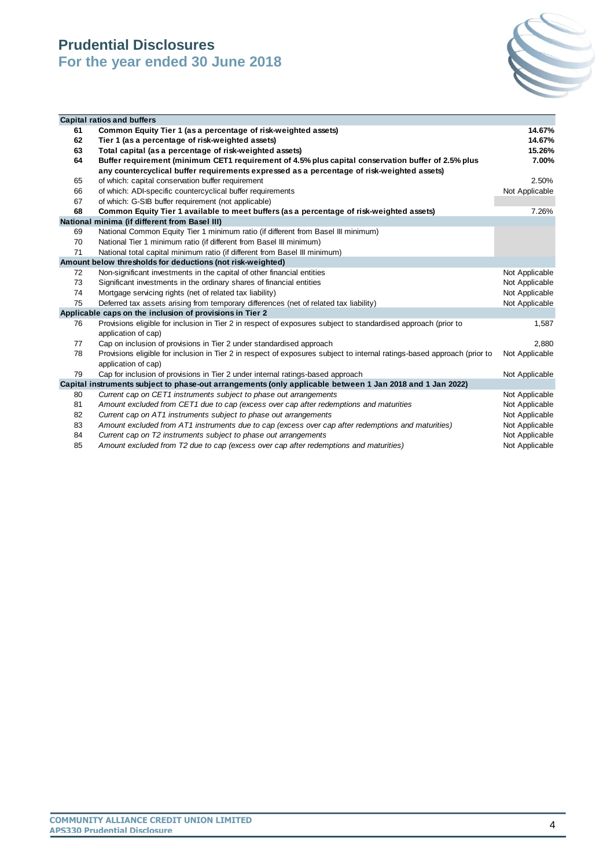

|    | <b>Capital ratios and buffers</b>                                                                                                               |                |
|----|-------------------------------------------------------------------------------------------------------------------------------------------------|----------------|
| 61 | Common Equity Tier 1 (as a percentage of risk-weighted assets)                                                                                  | 14.67%         |
| 62 | Tier 1 (as a percentage of risk-weighted assets)                                                                                                | 14.67%         |
| 63 | Total capital (as a percentage of risk-weighted assets)                                                                                         | 15.26%         |
| 64 | Buffer requirement (minimum CET1 requirement of 4.5% plus capital conservation buffer of 2.5% plus                                              | 7.00%          |
|    | any countercyclical buffer requirements expressed as a percentage of risk-weighted assets)                                                      |                |
| 65 | of which: capital conservation buffer requirement                                                                                               | 2.50%          |
| 66 | of which: ADI-specific countercyclical buffer requirements                                                                                      | Not Applicable |
| 67 | of which: G-SIB buffer requirement (not applicable)                                                                                             |                |
| 68 | Common Equity Tier 1 available to meet buffers (as a percentage of risk-weighted assets)                                                        | 7.26%          |
|    | National minima (if different from Basel III)                                                                                                   |                |
| 69 | National Common Equity Tier 1 minimum ratio (if different from Basel III minimum)                                                               |                |
| 70 | National Tier 1 minimum ratio (if different from Basel III minimum)                                                                             |                |
| 71 | National total capital minimum ratio (if different from Basel III minimum)                                                                      |                |
|    | Amount below thresholds for deductions (not risk-weighted)                                                                                      |                |
| 72 | Non-significant investments in the capital of other financial entities                                                                          | Not Applicable |
| 73 | Significant investments in the ordinary shares of financial entities                                                                            | Not Applicable |
| 74 | Mortgage servicing rights (net of related tax liability)                                                                                        | Not Applicable |
| 75 | Deferred tax assets arising from temporary differences (net of related tax liability)                                                           | Not Applicable |
|    | Applicable caps on the inclusion of provisions in Tier 2                                                                                        |                |
| 76 | Provisions eligible for inclusion in Tier 2 in respect of exposures subject to standardised approach (prior to                                  | 1,587          |
|    | application of cap)                                                                                                                             |                |
| 77 | Cap on inclusion of provisions in Tier 2 under standardised approach                                                                            | 2.880          |
| 78 | Provisions eligible for inclusion in Tier 2 in respect of exposures subject to internal ratings-based approach (prior to<br>application of cap) | Not Applicable |
| 79 | Cap for inclusion of provisions in Tier 2 under internal ratings-based approach                                                                 | Not Applicable |
|    | Capital instruments subject to phase-out arrangements (only applicable between 1 Jan 2018 and 1 Jan 2022)                                       |                |
| 80 | Current cap on CET1 instruments subject to phase out arrangements                                                                               | Not Applicable |
| 81 | Amount excluded from CET1 due to cap (excess over cap after redemptions and maturities                                                          | Not Applicable |
| 82 | Current cap on AT1 instruments subject to phase out arrangements                                                                                | Not Applicable |
| 83 | Amount excluded from AT1 instruments due to cap (excess over cap after redemptions and maturities)                                              | Not Applicable |
| 84 | Current cap on T2 instruments subject to phase out arrangements                                                                                 | Not Applicable |

85 Amount excluded from T2 due to cap (excess over cap after redemptions and maturities) Not Applicable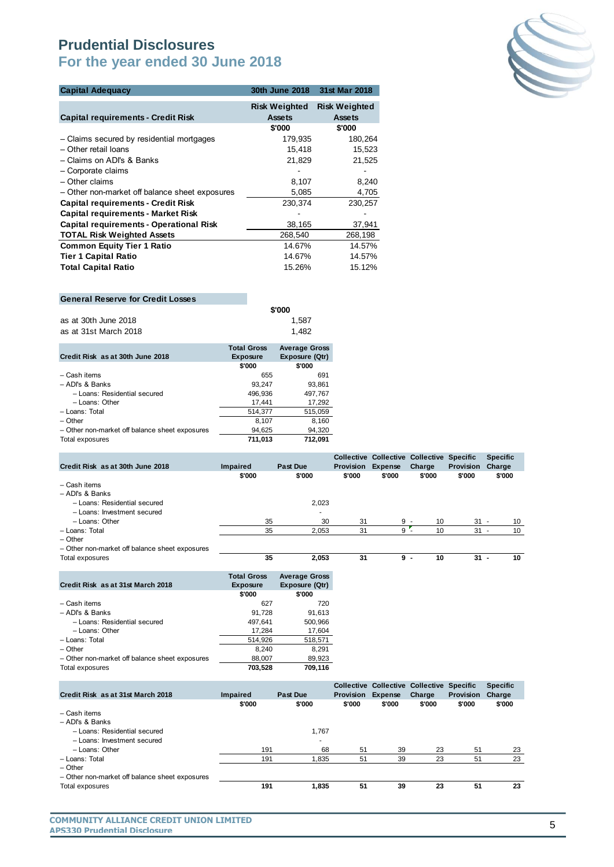

| <b>Capital Adequacy</b>                        | 30th June 2018                        | 31st Mar 2018                         |
|------------------------------------------------|---------------------------------------|---------------------------------------|
| <b>Capital requirements - Credit Risk</b>      | <b>Risk Weighted</b><br><b>Assets</b> | <b>Risk Weighted</b><br><b>Assets</b> |
|                                                | \$'000                                | \$'000                                |
| - Claims secured by residential mortgages      | 179,935                               | 180,264                               |
| - Other retail loans                           | 15,418                                | 15,523                                |
| - Claims on ADI's & Banks                      | 21,829                                | 21,525                                |
| - Corporate claims                             |                                       |                                       |
| - Other claims                                 | 8,107                                 | 8,240                                 |
| - Other non-market off balance sheet exposures | 5,085                                 | 4,705                                 |
| <b>Capital requirements - Credit Risk</b>      | 230,374                               | 230,257                               |
| <b>Capital requirements - Market Risk</b>      |                                       |                                       |
| Capital requirements - Operational Risk        | 38,165                                | 37,941                                |
| <b>TOTAL Risk Weighted Assets</b>              | 268,540                               | 268,198                               |
| <b>Common Equity Tier 1 Ratio</b>              | 14.67%                                | 14.57%                                |
| <b>Tier 1 Capital Ratio</b>                    | 14.67%                                | 14.57%                                |
| <b>Total Capital Ratio</b>                     | 15.26%                                | 15.12%                                |
|                                                |                                       |                                       |

#### **General Reserve for Credit Losses**

|                       | $T - 1 - 1$ $A - - - -$ | $\lambda$ $\lambda$ |
|-----------------------|-------------------------|---------------------|
| as at 31st March 2018 |                         | 1.482               |
| as at 30th June 2018  |                         | 1.587               |
|                       |                         | \$'000              |

|                                                | <b>Total Gross</b> | <b>Average Gross</b> |
|------------------------------------------------|--------------------|----------------------|
| Credit Risk as at 30th June 2018               | <b>Exposure</b>    | Exposure (Qtr)       |
|                                                | \$'000             | \$'000               |
| - Cash items                                   | 655                | 691                  |
| $-$ ADI's & Banks                              | 93.247             | 93,861               |
| - Loans: Residential secured                   | 496.936            | 497,767              |
| - Loans: Other                                 | 17.441             | 17,292               |
| - Loans: Total                                 | 514.377            | 515,059              |
| $-$ Other                                      | 8,107              | 8,160                |
| - Other non-market off balance sheet exposures | 94,625             | 94,320               |
| Total exposures                                | 711.013            | 712.091              |

| Credit Risk as at 30th June 2018               | <b>Impaired</b> | <b>Past Due</b> |                | <b>Provision</b> | <b>Expense</b> | Collective Collective Collective Specific<br>Charge | <b>Provision</b> | <b>Specific</b><br>Charge      |
|------------------------------------------------|-----------------|-----------------|----------------|------------------|----------------|-----------------------------------------------------|------------------|--------------------------------|
|                                                | \$'000          |                 | \$'000         | \$'000           | \$'000         | \$'000                                              | \$'000           | \$'000                         |
| - Cash items                                   |                 |                 |                |                  |                |                                                     |                  |                                |
| - ADI's & Banks                                |                 |                 |                |                  |                |                                                     |                  |                                |
| - Loans: Residential secured                   |                 |                 | 2,023          |                  |                |                                                     |                  |                                |
| - Loans: Investment secured                    |                 |                 | $\overline{a}$ |                  |                |                                                     |                  |                                |
| - Loans: Other                                 |                 | 35              | 30             | 31               |                | $9 -$<br>10                                         | $31 -$           | 10                             |
| - Loans: Total                                 |                 | 35              | 2.053          | 31               | 9              | 10                                                  | 31               | 10<br>$\overline{\phantom{a}}$ |
| $-$ Other                                      |                 |                 |                |                  |                |                                                     |                  |                                |
| - Other non-market off balance sheet exposures |                 |                 |                |                  |                |                                                     |                  |                                |

| $-$<br>Total<br>osures<br>$\overline{\phantom{a}}$<br>. | $\mathbf{r}$<br>ູ | 2,053 | п.<br>- -<br>- - | л.<br>- - | 10<br>$\sim$ | $\sim$<br>. .<br>$ -$ | 10<br>__ |
|---------------------------------------------------------|-------------------|-------|------------------|-----------|--------------|-----------------------|----------|
|                                                         |                   |       |                  |           |              |                       |          |

|                                                | <b>Total Gross</b> | <b>Average Gross</b> |
|------------------------------------------------|--------------------|----------------------|
| Credit Risk as at 31st March 2018              | <b>Exposure</b>    | Exposure (Qtr)       |
|                                                | \$'000             | \$'000               |
| - Cash items                                   | 627                | 720                  |
| - ADI's & Banks                                | 91.728             | 91.613               |
| - Loans: Residential secured                   | 497.641            | 500,966              |
| - Loans: Other                                 | 17.284             | 17,604               |
| - Loans: Total                                 | 514.926            | 518,571              |
| - Other                                        | 8.240              | 8.291                |
| - Other non-market off balance sheet exposures | 88,007             | 89,923               |
| Total exposures                                | 703.528            | 709.116              |

|                                                |                 |                 |           | Collective Collective Collective Specific |        |                  | <b>Specific</b> |
|------------------------------------------------|-----------------|-----------------|-----------|-------------------------------------------|--------|------------------|-----------------|
| Credit Risk as at 31st March 2018              | <b>Impaired</b> | <b>Past Due</b> | Provision | <b>Expense</b>                            | Charge | <b>Provision</b> | Charge          |
|                                                | \$'000          | \$'000          | \$'000    | \$'000                                    | \$'000 | \$'000           | \$'000          |
| - Cash items                                   |                 |                 |           |                                           |        |                  |                 |
| - ADI's & Banks                                |                 |                 |           |                                           |        |                  |                 |
| - Loans: Residential secured                   |                 | 1.767           |           |                                           |        |                  |                 |
| - Loans: Investment secured                    |                 | ۰               |           |                                           |        |                  |                 |
| - Loans: Other                                 | 191             | 68              | 51        | 39                                        | 23     | 51               | 23              |
| - Loans: Total                                 | 191             | 1.835           | 51        | 39                                        | 23     | 51               | 23              |
| $-$ Other                                      |                 |                 |           |                                           |        |                  |                 |
| - Other non-market off balance sheet exposures |                 |                 |           |                                           |        |                  |                 |
| Total exposures                                | 191             | 1.835           | 51        | 39                                        | 23     | 51               | 23              |